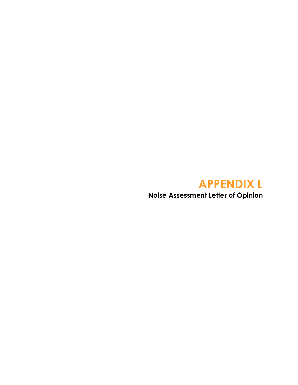# **APPENDIX L**

**Noise Assessment Letter of Opinion**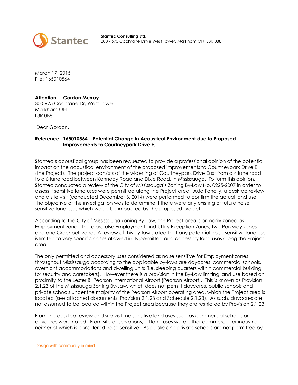

**Stantec Consulting Ltd.**  300 - 675 Cochrane Drive West Tower, Markham ON L3R 0B8

March 17, 2015 File: 165010564

## **Attention: Gordon Murray**

300-675 Cochrane Dr, West Tower Markham ON L3R 0B8

Dear Gordon,

## **Reference: 165010564 – Potential Change in Acoustical Environment due to Proposed Improvements to Courtneypark Drive E.**

Stantec's acoustical group has been requested to provide a professional opinion of the potential impact on the acoustical environment of the proposed improvements to Courtneypark Drive E. (the Project). The project consists of the widening of Courtneypark Drive East from a 4 lane road to a 6 lane road between Kennedy Road and Dixie Road, in Mississauga. To form this opinion, Stantec conducted a review of the City of Mississauga's Zoning By-Law No. 0225-2007 in order to assess if sensitive land uses were permitted along the Project area. Additionally, a desktop review and a site visit (conducted December 3, 2014) were performed to confirm the actual land use. The objective of this investigation was to determine if there were any existing or future noise sensitive land uses which would be impacted by the proposed project.

According to the City of Mississauga Zoning By-Law, the Project area is primarily zoned as Employment zone. There are also Employment and Utility Exception Zones, two Parkway zones and one Greenbelt zone. A review of this by-law stated that any potential noise sensitive land use is limited to very specific cases allowed in its permitted and accessory land uses along the Project area.

The only permitted and accessory uses considered as noise sensitive for Employment zones throughout Mississauga according to the applicable by-laws are daycares, commercial schools, overnight accommodations and dwelling units (i.e. sleeping quarters within commercial building for security and caretakers). However there is a provision in the By-Law limiting land use based on proximity to the Lester B. Pearson International Airport (Pearson Airport). This is known as Provision 2.1.23 of the Mississauga Zoning By-Law, which does not permit daycares, public schools and private schools under the majority of the Pearson Airport operating area, which the Project area is located (see attached documents, Provision 2.1.23 and Schedule 2.1.23). As such, daycares are not assumed to be located within the Project area because they are restricted by Provision 2.1.23.

From the desktop review and site visit, no sensitive land uses such as commercial schools or daycares were noted. From site observations, all land uses were either commercial or industrial; neither of which is considered noise sensitive. As public and private schools are not permitted by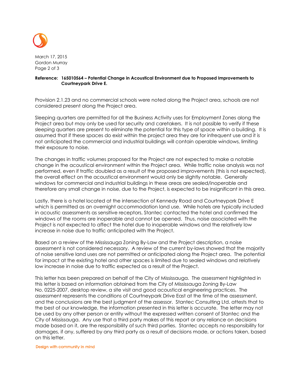

March 17, 2015 Gordon Murray Page 2 of 3

## **Reference: 165010564 – Potential Change in Acoustical Environment due to Proposed Improvements to Courtneypark Drive E.**

Provision 2.1.23 and no commercial schools were noted along the Project area, schools are not considered present along the Project area.

Sleeping quarters are permitted for all the Business Activity uses for Employment Zones along the Project area but may only be used for security and caretakers. It is not possible to verify if these sleeping quarters are present to eliminate the potential for this type of space within a building. It is assumed that if these spaces do exist within the project area they are for infrequent use and it is not anticipated the commercial and industrial buildings will contain operable windows, limiting their exposure to noise.

The changes in traffic volumes proposed for the Project are not expected to make a notable change in the acoustical environment within the Project area. While traffic noise analysis was not performed, even if traffic doubled as a result of the proposed improvements (this is not expected), the overall effect on the acoustical environment would only be slightly notable. Generally windows for commercial and industrial buildings in these areas are sealed/inoperable and therefore any small change in noise, due to the Project, is expected to be insignificant in this area.

Lastly, there is a hotel located at the intersection of Kennedy Road and Courtneypark Drive E which is permitted as an overnight accommodation land use. While hotels are typically included in acoustic assessments as sensitive receptors, Stantec contacted the hotel and confirmed the windows of the rooms are inoperable and cannot be opened. Thus, noise associated with the Project is not expected to affect the hotel due to inoperable windows and the relatively low increase in noise due to traffic anticipated with the Project.

Based on a review of the Mississauga Zoning By-Law and the Project description, a noise assessment is not considered necessary. A review of the current by-laws showed that the majority of noise sensitive land uses are not permitted or anticipated along the Project area. The potential for impact at the existing hotel and other spaces is limited due to sealed windows and relatively low increase in noise due to traffic expected as a result of the Project.

This letter has been prepared on behalf of the City of Mississauga. The assessment highlighted in this letter is based on information obtained from the City of Mississauga Zoning By-Law No. 0225-2007, desktop review, a site visit and good acoustical engineering practices. The assessment represents the conditions of Courtneypark Drive East at the time of the assessment, and the conclusions are the best judgment of the assessor. Stantec Consulting Ltd. attests that to the best of our knowledge, the information presented in this letter is accurate. The letter may not be used by any other person or entity without the expressed written consent of Stantec and the City of Mississauga. Any use that a third party makes of this report or any reliance on decisions made based on it, are the responsibility of such third parties. Stantec accepts no responsibility for damages, if any, suffered by any third party as a result of decisions made, or actions taken, based on this letter.

### Design with community in mind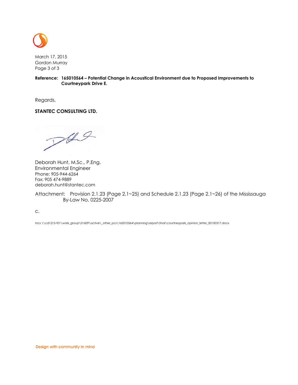

March 17, 2015 Gordon Murray Page 3 of 3

**Reference: 165010564 – Potential Change in Acoustical Environment due to Proposed Improvements to Courtneypark Drive E.** 

Regards,

## **STANTEC CONSULTING LTD.**

 $P49$ 

Deborah Hunt, M.Sc., P.Eng. Environmental Engineer Phone: 905-944-6264 Fax: 905 474-9889 deborah.hunt@stantec.com

Attachment: Provision 2.1.23 (Page 2.1~25) and Schedule 2.1.23 (Page 2.1~26) of the Mississauga By-Law No. 0225-2007

c.

mcs \\cd1215-f01\work\_group\01609\active\\_other\_pcs\165010564\planning\report\final\courtneypark\_opinion\_letter\_20150317.docx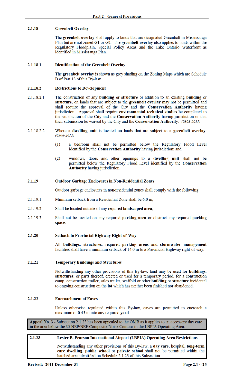#### 2.1.18 **Greenbelt Overlay**

The greenbelt overlay shall apply to lands that are designated Greenbelt in Mississauga Plan but are not zoned G1 or G2. The greenbelt overlay also applies to lands within the Regulatory Floodplain, Special Policy Areas and the Lake Ontario Waterfront as identified in Mississauga Plan.

#### 2.1.18.1 **Identification of the Greenbelt Overlay**

The greenbelt overlay is shown as grey shading on the Zoning Maps which are Schedule B of Part 13 of this By-law.

#### 2.1.18.2 **Restrictions to Development**

- 2.1.18.2.1 The construction of any building or structure or addition to an existing building or structure, on lands that are subject to the greenbelt overlay may not be permitted and shall require the approval of the City and the Conservation Authority having jurisdiction. Approval shall require environmental technical studies be completed to the satisfaction of the City and the Conservation Authority having jurisdiction or that their submission be waived by the City and the Conservation Authority. (0308-2011)
- 2.1.18.2.2 Where a **dwelling unit** is located on lands that are subject to a greenbelt overlay:  $(0308 - 2011)$ 
	- a bedroom shall not be permitted below the Regulatory Flood Level  $(1)$ identified by the Conservation Authority having jurisdiction; and
	- windows, doors and other openings to a dwelling unit shall not be  $(2)$ permitted below the Regulatory Flood Level identified by the Conservation **Authority** having jurisdiction.

#### 2.1.19 **Outdoor Garbage Enclosures in Non-Residential Zones**

Outdoor garbage enclosures in non-residential zones shall comply with the following:

- 2.1.19.1 Minimum setback from a Residential Zone shall be 6.0 m;
- 2.1.19.2 Shall be located outside of any required landscaped area;
- 2 1 1 9 3 Shall not be located on any required parking area or obstruct any required parking space.

#### 2.1.20 **Setback to Provincial Highway Right-of-Way**

All buildings, structures, required parking areas and stormwater management facilities shall have a minimum setback of 14.0 m to a Provincial Highway right-of-way.

#### 2.1.21 **Temporary Buildings and Structures**

Notwithstanding any other provisions of this By-law, land may be used for **buildings**, structures, or parts thereof, erected or used for a temporary period, for a construction camp, construction trailer, sales trailer, scaffold or other **building** or structure incidental to ongoing construction on the lot which has neither been finished nor abandoned.

#### 2.1.22 **Encroachment of Eaves**

Unless otherwise regulated within this By-law, eaves are permitted to encroach a maximum of 0.45 m into any required yard.

Appeal No. 3 - Subsection 2.1.23 has been appealed to the OMB as it applies to an accessory day care in the area below the 35 NEP/NEF Composite Noise Contour in the LBPIA Operating Area.

#### 2.1.23 Lester B. Pearson International Airport (LBPIA) Operating Area Restrictions

Notwithstanding any other provisions of this By-law, a day care, hospital, long-term care dwelling, public school or private school shall not be permitted within the hatched area identified on Schedule 2.1.23 of this Subsection.